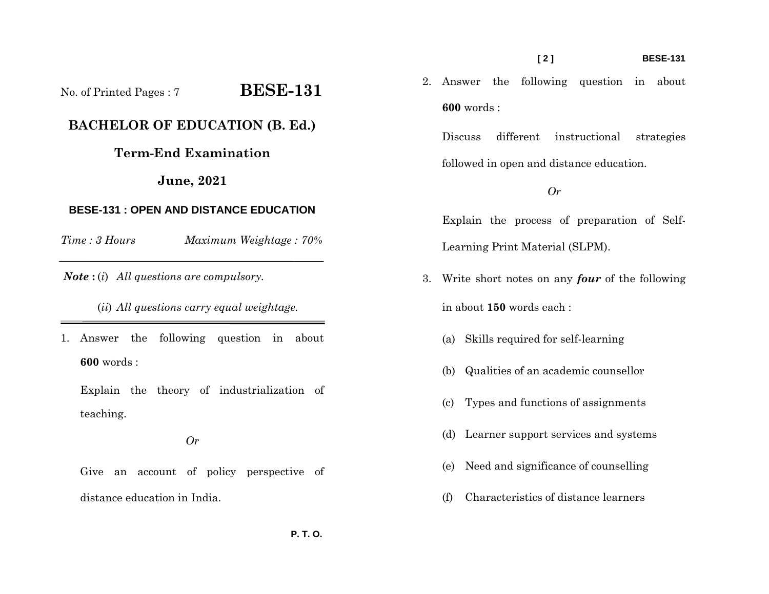## **[ 2 ] BESE-131**

2. Answer the following question in about **600** words :

Discuss different instructional strategies followed in open and distance education.

# *Or*

Explain the process of preparation of Self-Learning Print Material (SLPM).

- 3. Write short notes on any *four* of the following in about **150** words each :
	- (a) Skills required for self-learning
	- (b) Qualities of an academic counsellor
	- (c) Types and functions of assignments
	- (d) Learner support services and systems
	- (e) Need and significance of counselling
	- (f) Characteristics of distance learners

No. of Printed Pages : 7 **BESE-131 BACHELOR OF EDUCATION (B. Ed.)** 

# **Term-End Examination**

**June, 2021** 

# **BESE-131 : OPEN AND DISTANCE EDUCATION**

*Time : 3 HoursMaximum Weightage : 70%* 

*Note* **:** (*i*) *All questions are compulsory.* 

(*ii*) *All questions carry equal weightage.*

1. Answer the following question in about **600** words :

Explain the theory of industrialization of teaching.

*Or* 

Give an account of policy perspective of distance education in India.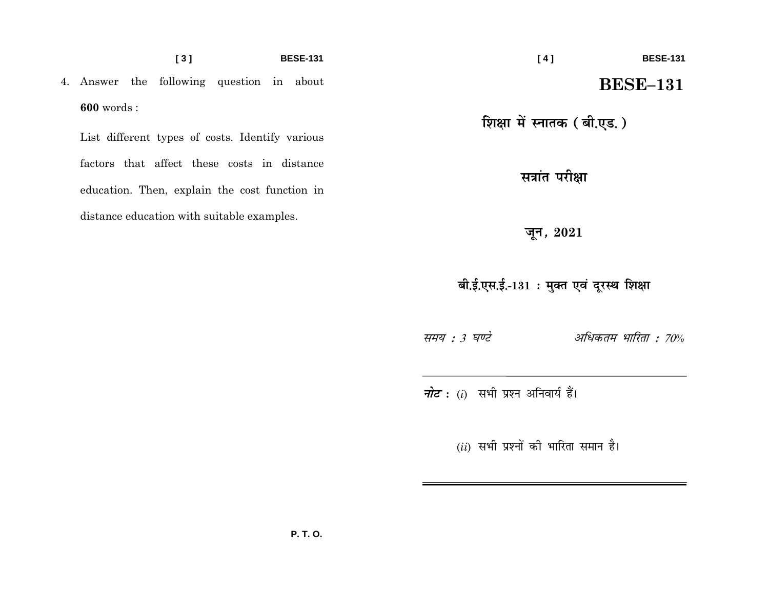### $[3]$ **BESE-131**

4. Answer the following question in about  $600$  words:

List different types of costs. Identify various factors that affect these costs in distance education. Then, explain the cost function in distance education with suitable examples.

 $[4]$ **BESE-131 BESE-131** 

शिक्षा में स्नातक (बी.एड.)

सत्रांत परीक्षा

जून*,* 2021

बी.ई.एस.ई.-131 : मुक्त एवं दूरस्थ शिक्षा

समय : 3 घण्टे बाह्य अधिकतम भारिता : 70%

*नोट*: (i) सभी प्रश्न अनिवार्य हैं।

 $(ii)$  सभी प्रश्नों की भारिता समान है।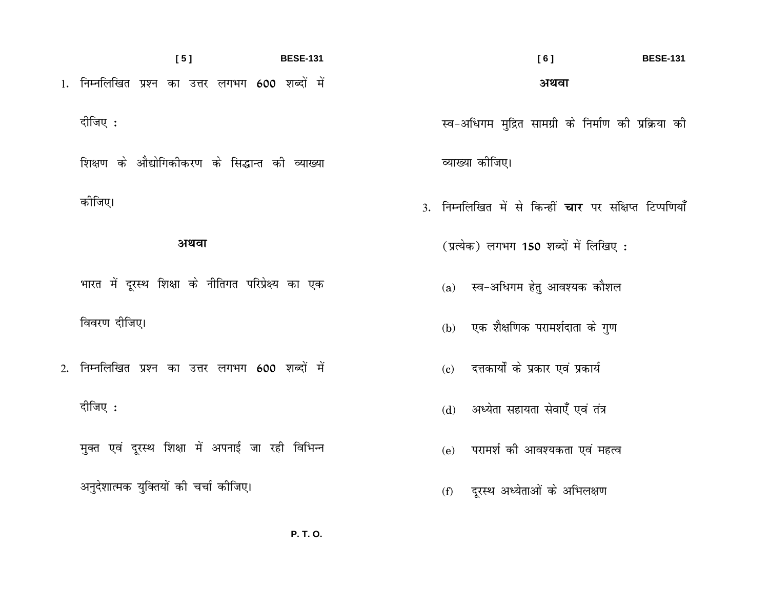$[5]$ **BESE-131** 1. निम्नलिखित प्रश्न का उत्तर लगभग 600 शब्दों में दीजिए : शिक्षण के औद्योगिकीकरण के सिद्धान्त की व्याख्या

# अथवा

भारत में दूरस्थ शिक्षा के नीतिगत परिप्रेक्ष्य का एक

विवरण दीजिए।

कोजिए।

2. निम्नलिखित प्रश्न का उत्तर लगभग 600 शब्दों में दीजिए :

मुक्त एवं दूरस्थ शिक्षा में अपनाई जा रही विभिन्न

अनुदेशात्मक युक्तियों की चर्चा कीजिए।

 $[6]$ **BESE-131** अथवा

स्व-अधिगम मुद्रित सामग्री के निर्माण की प्रक्रिया की

व्याख्या कीजिए।

3. निम्नलिखित में से किन्हीं **चार** पर संक्षिप्त टिप्पणियाँ

(प्रत्येक) लगभग 150 शब्दों में लिखिए:

- (a) स्व-अधिगम हेतु आवश्यक कौशल
- (b) एक शैक्षणिक परामर्शदाता के गुण
- (c) दत्तकार्यों के प्रकार एवं प्रकार्य
- (d) अध्येता सहायता सेवाएँ एवं तंत्र
- (e) परामर्श की आवश्यकता एवं महत्व
- (f) दूरस्थ अध्येताओं के अभिलक्षण